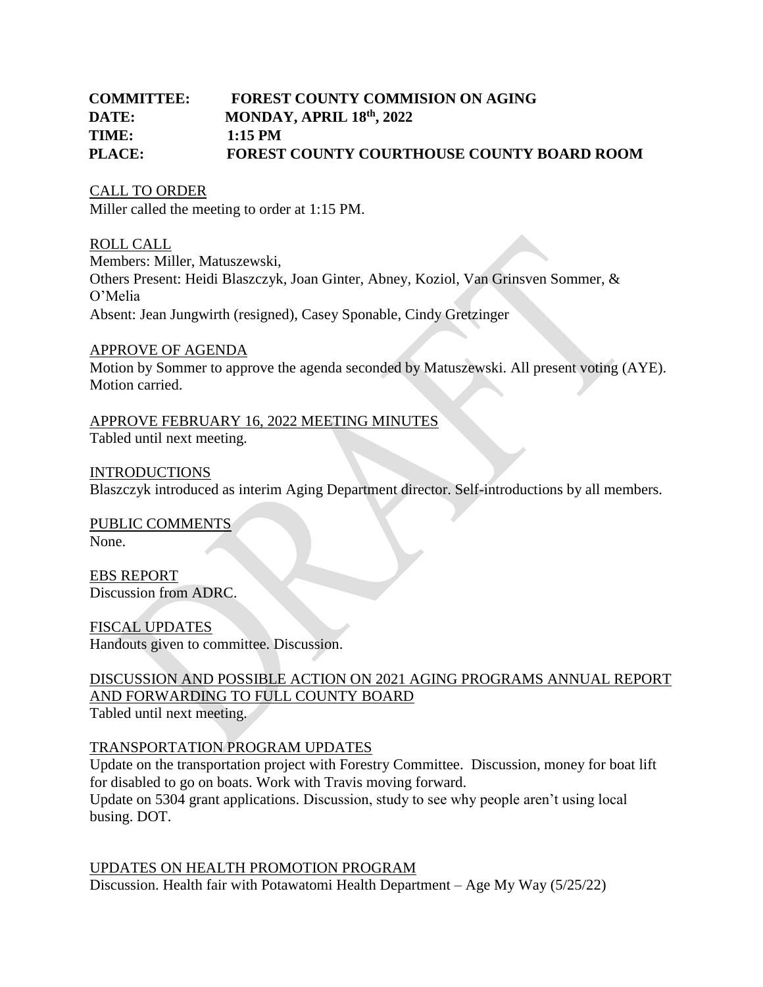# **COMMITTEE: FOREST COUNTY COMMISION ON AGING DATE: MONDAY, APRIL 18<sup>th</sup>, 2022 TIME: 1:15 PM PLACE: FOREST COUNTY COURTHOUSE COUNTY BOARD ROOM**

CALL TO ORDER Miller called the meeting to order at 1:15 PM.

ROLL CALL Members: Miller, Matuszewski, Others Present: Heidi Blaszczyk, Joan Ginter, Abney, Koziol, Van Grinsven Sommer, & O'Melia Absent: Jean Jungwirth (resigned), Casey Sponable, Cindy Gretzinger

### APPROVE OF AGENDA

Motion by Sommer to approve the agenda seconded by Matuszewski. All present voting (AYE). Motion carried.

### APPROVE FEBRUARY 16, 2022 MEETING MINUTES Tabled until next meeting.

INTRODUCTIONS Blaszczyk introduced as interim Aging Department director. Self-introductions by all members.

PUBLIC COMMENTS None.

EBS REPORT Discussion from ADRC.

FISCAL UPDATES Handouts given to committee. Discussion.

# DISCUSSION AND POSSIBLE ACTION ON 2021 AGING PROGRAMS ANNUAL REPORT AND FORWARDING TO FULL COUNTY BOARD

Tabled until next meeting.

### TRANSPORTATION PROGRAM UPDATES

Update on the transportation project with Forestry Committee. Discussion, money for boat lift for disabled to go on boats. Work with Travis moving forward. Update on 5304 grant applications. Discussion, study to see why people aren't using local busing. DOT.

UPDATES ON HEALTH PROMOTION PROGRAM Discussion. Health fair with Potawatomi Health Department – Age My Way (5/25/22)